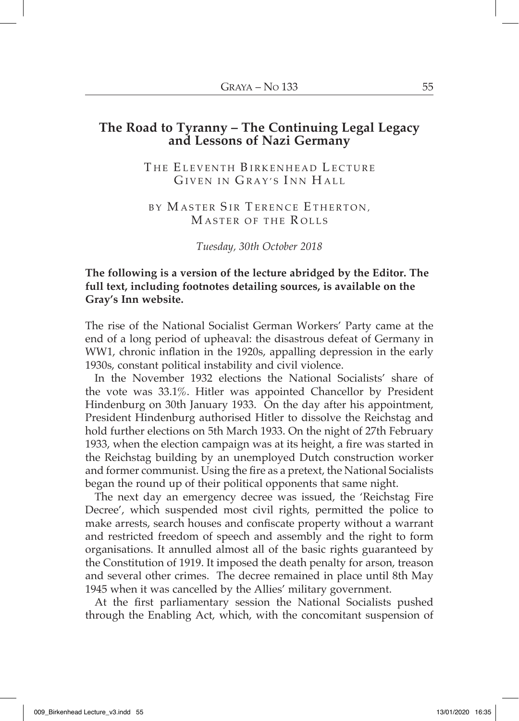# **The Road to Tyranny – The Continuing Legal Legacy and Lessons of Nazi Germany**

THE ELEVENTH BIRKENHEAD LECTURE GIVEN IN GRAY'S INN HALL

BY MASTER SIR TERENCE ETHERTON, M ASTER OF THE R OLLS

*Tuesday, 30th October 2018*

## **The following is a version of the lecture abridged by the Editor. The full text, including footnotes detailing sources, is available on the Gray's Inn website.**

The rise of the National Socialist German Workers' Party came at the end of a long period of upheaval: the disastrous defeat of Germany in WW1, chronic inflation in the 1920s, appalling depression in the early 1930s, constant political instability and civil violence.

In the November 1932 elections the National Socialists' share of the vote was 33.1%. Hitler was appointed Chancellor by President Hindenburg on 30th January 1933. On the day after his appointment, President Hindenburg authorised Hitler to dissolve the Reichstag and hold further elections on 5th March 1933. On the night of 27th February 1933, when the election campaign was at its height, a fire was started in the Reichstag building by an unemployed Dutch construction worker and former communist. Using the fire as a pretext, the National Socialists began the round up of their political opponents that same night.

The next day an emergency decree was issued, the 'Reichstag Fire Decree', which suspended most civil rights, permitted the police to make arrests, search houses and confiscate property without a warrant and restricted freedom of speech and assembly and the right to form organisations. It annulled almost all of the basic rights guaranteed by the Constitution of 1919. It imposed the death penalty for arson, treason and several other crimes. The decree remained in place until 8th May 1945 when it was cancelled by the Allies' military government.

At the first parliamentary session the National Socialists pushed through the Enabling Act, which, with the concomitant suspension of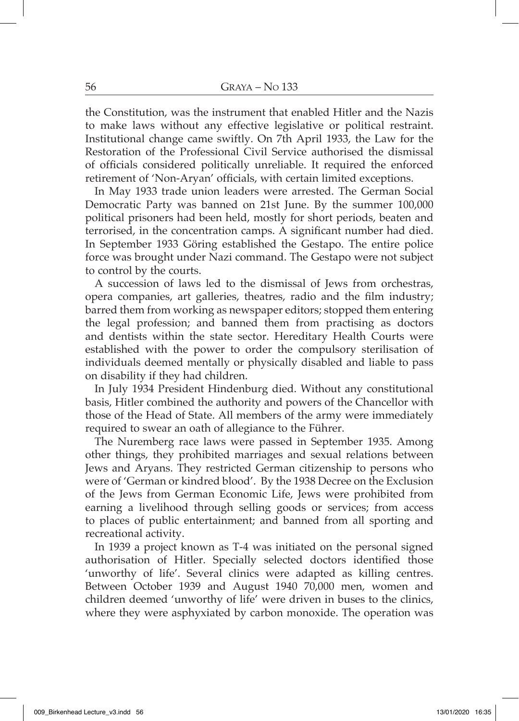the Constitution, was the instrument that enabled Hitler and the Nazis to make laws without any effective legislative or political restraint. Institutional change came swiftly. On 7th April 1933, the Law for the Restoration of the Professional Civil Service authorised the dismissal of officials considered politically unreliable. It required the enforced retirement of 'Non-Aryan' officials, with certain limited exceptions.

In May 1933 trade union leaders were arrested. The German Social Democratic Party was banned on 21st June. By the summer 100,000 political prisoners had been held, mostly for short periods, beaten and terrorised, in the concentration camps. A significant number had died. In September 1933 Göring established the Gestapo. The entire police force was brought under Nazi command. The Gestapo were not subject to control by the courts.

A succession of laws led to the dismissal of Jews from orchestras, opera companies, art galleries, theatres, radio and the film industry; barred them from working as newspaper editors; stopped them entering the legal profession; and banned them from practising as doctors and dentists within the state sector. Hereditary Health Courts were established with the power to order the compulsory sterilisation of individuals deemed mentally or physically disabled and liable to pass on disability if they had children.

In July 1934 President Hindenburg died. Without any constitutional basis, Hitler combined the authority and powers of the Chancellor with those of the Head of State. All members of the army were immediately required to swear an oath of allegiance to the Führer.

The Nuremberg race laws were passed in September 1935. Among other things, they prohibited marriages and sexual relations between Jews and Aryans. They restricted German citizenship to persons who were of 'German or kindred blood'. By the 1938 Decree on the Exclusion of the Jews from German Economic Life, Jews were prohibited from earning a livelihood through selling goods or services; from access to places of public entertainment; and banned from all sporting and recreational activity.

In 1939 a project known as T-4 was initiated on the personal signed authorisation of Hitler. Specially selected doctors identified those 'unworthy of life'. Several clinics were adapted as killing centres. Between October 1939 and August 1940 70,000 men, women and children deemed 'unworthy of life' were driven in buses to the clinics, where they were asphyxiated by carbon monoxide. The operation was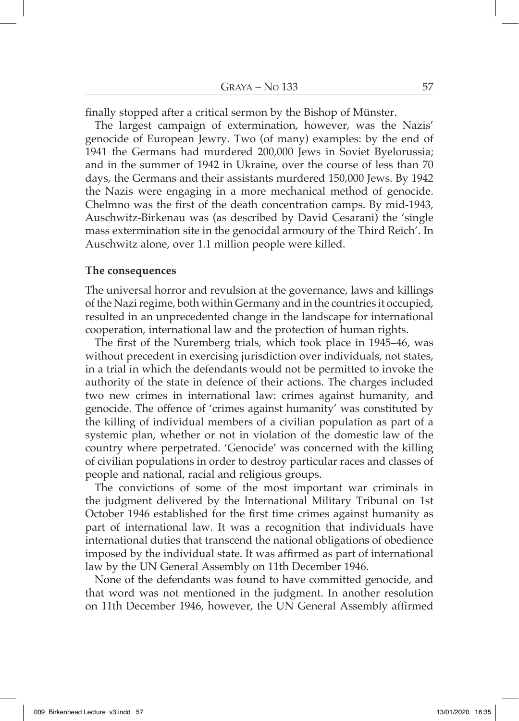finally stopped after a critical sermon by the Bishop of Münster.

The largest campaign of extermination, however, was the Nazis' genocide of European Jewry. Two (of many) examples: by the end of 1941 the Germans had murdered 200,000 Jews in Soviet Byelorussia; and in the summer of 1942 in Ukraine, over the course of less than 70 days, the Germans and their assistants murdered 150,000 Jews. By 1942 the Nazis were engaging in a more mechanical method of genocide. Chelmno was the first of the death concentration camps. By mid-1943, Auschwitz-Birkenau was (as described by David Cesarani) the 'single mass extermination site in the genocidal armoury of the Third Reich'. In Auschwitz alone, over 1.1 million people were killed.

#### **The consequences**

The universal horror and revulsion at the governance, laws and killings of the Nazi regime, both within Germany and in the countries it occupied, resulted in an unprecedented change in the landscape for international cooperation, international law and the protection of human rights.

The first of the Nuremberg trials, which took place in 1945–46, was without precedent in exercising jurisdiction over individuals, not states, in a trial in which the defendants would not be permitted to invoke the authority of the state in defence of their actions. The charges included two new crimes in international law: crimes against humanity, and genocide. The offence of 'crimes against humanity' was constituted by the killing of individual members of a civilian population as part of a systemic plan, whether or not in violation of the domestic law of the country where perpetrated. 'Genocide' was concerned with the killing of civilian populations in order to destroy particular races and classes of people and national, racial and religious groups.

The convictions of some of the most important war criminals in the judgment delivered by the International Military Tribunal on 1st October 1946 established for the first time crimes against humanity as part of international law. It was a recognition that individuals have international duties that transcend the national obligations of obedience imposed by the individual state. It was affirmed as part of international law by the UN General Assembly on 11th December 1946.

None of the defendants was found to have committed genocide, and that word was not mentioned in the judgment. In another resolution on 11th December 1946, however, the UN General Assembly affirmed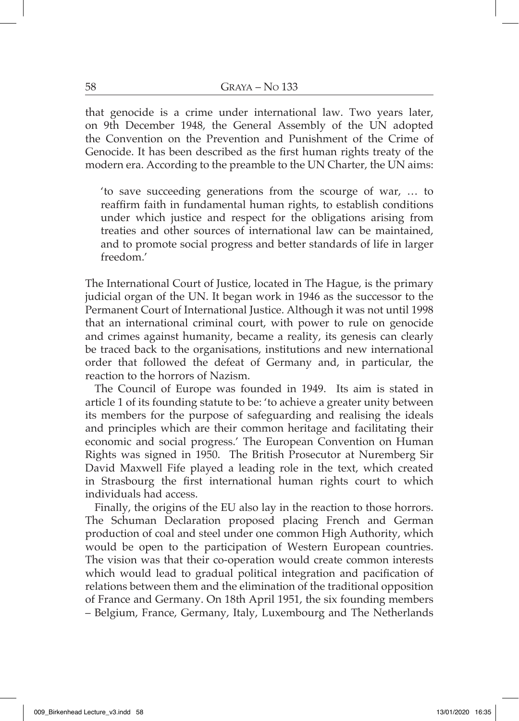that genocide is a crime under international law. Two years later, on 9th December 1948, the General Assembly of the UN adopted the Convention on the Prevention and Punishment of the Crime of Genocide. It has been described as the first human rights treaty of the modern era. According to the preamble to the UN Charter, the UN aims:

'to save succeeding generations from the scourge of war, … to reaffirm faith in fundamental human rights, to establish conditions under which justice and respect for the obligations arising from treaties and other sources of international law can be maintained, and to promote social progress and better standards of life in larger freedom.'

The International Court of Justice, located in The Hague, is the primary judicial organ of the UN. It began work in 1946 as the successor to the Permanent Court of International Justice. Although it was not until 1998 that an international criminal court, with power to rule on genocide and crimes against humanity, became a reality, its genesis can clearly be traced back to the organisations, institutions and new international order that followed the defeat of Germany and, in particular, the reaction to the horrors of Nazism.

The Council of Europe was founded in 1949. Its aim is stated in article 1 of its founding statute to be: 'to achieve a greater unity between its members for the purpose of safeguarding and realising the ideals and principles which are their common heritage and facilitating their economic and social progress.' The European Convention on Human Rights was signed in 1950. The British Prosecutor at Nuremberg Sir David Maxwell Fife played a leading role in the text, which created in Strasbourg the first international human rights court to which individuals had access.

Finally, the origins of the EU also lay in the reaction to those horrors. The Schuman Declaration proposed placing French and German production of coal and steel under one common High Authority, which would be open to the participation of Western European countries. The vision was that their co-operation would create common interests which would lead to gradual political integration and pacification of relations between them and the elimination of the traditional opposition of France and Germany. On 18th April 1951, the six founding members – Belgium, France, Germany, Italy, Luxembourg and The Netherlands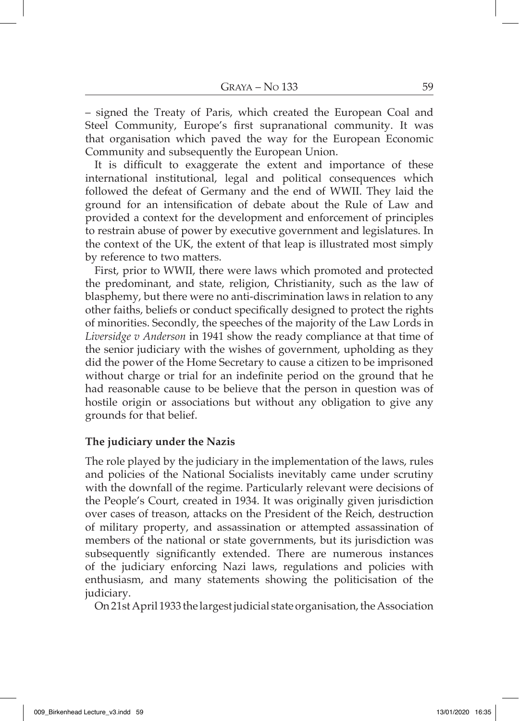– signed the Treaty of Paris, which created the European Coal and Steel Community, Europe's first supranational community. It was that organisation which paved the way for the European Economic Community and subsequently the European Union.

It is difficult to exaggerate the extent and importance of these international institutional, legal and political consequences which followed the defeat of Germany and the end of WWII. They laid the ground for an intensification of debate about the Rule of Law and provided a context for the development and enforcement of principles to restrain abuse of power by executive government and legislatures. In the context of the UK, the extent of that leap is illustrated most simply by reference to two matters.

First, prior to WWII, there were laws which promoted and protected the predominant, and state, religion, Christianity, such as the law of blasphemy, but there were no anti-discrimination laws in relation to any other faiths, beliefs or conduct specifically designed to protect the rights of minorities. Secondly, the speeches of the majority of the Law Lords in *Liversidge v Anderson* in 1941 show the ready compliance at that time of the senior judiciary with the wishes of government, upholding as they did the power of the Home Secretary to cause a citizen to be imprisoned without charge or trial for an indefinite period on the ground that he had reasonable cause to be believe that the person in question was of hostile origin or associations but without any obligation to give any grounds for that belief.

### **The judiciary under the Nazis**

The role played by the judiciary in the implementation of the laws, rules and policies of the National Socialists inevitably came under scrutiny with the downfall of the regime. Particularly relevant were decisions of the People's Court, created in 1934. It was originally given jurisdiction over cases of treason, attacks on the President of the Reich, destruction of military property, and assassination or attempted assassination of members of the national or state governments, but its jurisdiction was subsequently significantly extended. There are numerous instances of the judiciary enforcing Nazi laws, regulations and policies with enthusiasm, and many statements showing the politicisation of the judiciary.

On 21st April 1933 the largest judicial state organisation, the Association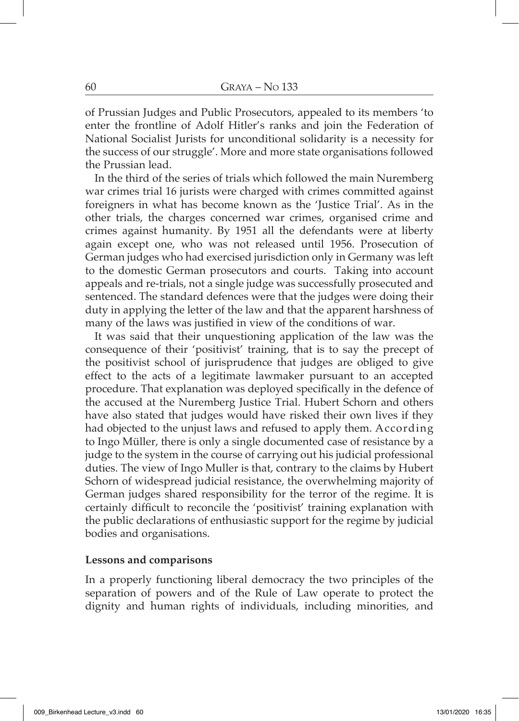of Prussian Judges and Public Prosecutors, appealed to its members 'to enter the frontline of Adolf Hitler's ranks and join the Federation of National Socialist Jurists for unconditional solidarity is a necessity for the success of our struggle'. More and more state organisations followed the Prussian lead.

In the third of the series of trials which followed the main Nuremberg war crimes trial 16 jurists were charged with crimes committed against foreigners in what has become known as the 'Justice Trial'. As in the other trials, the charges concerned war crimes, organised crime and crimes against humanity. By 1951 all the defendants were at liberty again except one, who was not released until 1956. Prosecution of German judges who had exercised jurisdiction only in Germany was left to the domestic German prosecutors and courts. Taking into account appeals and re-trials, not a single judge was successfully prosecuted and sentenced. The standard defences were that the judges were doing their duty in applying the letter of the law and that the apparent harshness of many of the laws was justified in view of the conditions of war.

It was said that their unquestioning application of the law was the consequence of their 'positivist' training, that is to say the precept of the positivist school of jurisprudence that judges are obliged to give effect to the acts of a legitimate lawmaker pursuant to an accepted procedure. That explanation was deployed specifically in the defence of the accused at the Nuremberg Justice Trial. Hubert Schorn and others have also stated that judges would have risked their own lives if they had objected to the unjust laws and refused to apply them. According to Ingo Müller, there is only a single documented case of resistance by a judge to the system in the course of carrying out his judicial professional duties. The view of Ingo Muller is that, contrary to the claims by Hubert Schorn of widespread judicial resistance, the overwhelming majority of German judges shared responsibility for the terror of the regime. It is certainly difficult to reconcile the 'positivist' training explanation with the public declarations of enthusiastic support for the regime by judicial bodies and organisations.

### **Lessons and comparisons**

In a properly functioning liberal democracy the two principles of the separation of powers and of the Rule of Law operate to protect the dignity and human rights of individuals, including minorities, and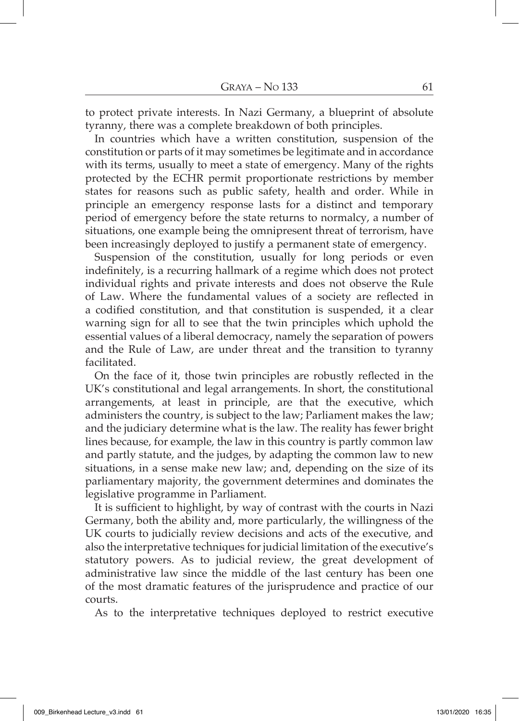to protect private interests. In Nazi Germany, a blueprint of absolute tyranny, there was a complete breakdown of both principles.

In countries which have a written constitution, suspension of the constitution or parts of it may sometimes be legitimate and in accordance with its terms, usually to meet a state of emergency. Many of the rights protected by the ECHR permit proportionate restrictions by member states for reasons such as public safety, health and order. While in principle an emergency response lasts for a distinct and temporary period of emergency before the state returns to normalcy, a number of situations, one example being the omnipresent threat of terrorism, have been increasingly deployed to justify a permanent state of emergency.

Suspension of the constitution, usually for long periods or even indefinitely, is a recurring hallmark of a regime which does not protect individual rights and private interests and does not observe the Rule of Law. Where the fundamental values of a society are reflected in a codified constitution, and that constitution is suspended, it a clear warning sign for all to see that the twin principles which uphold the essential values of a liberal democracy, namely the separation of powers and the Rule of Law, are under threat and the transition to tyranny facilitated.

On the face of it, those twin principles are robustly reflected in the UK's constitutional and legal arrangements. In short, the constitutional arrangements, at least in principle, are that the executive, which administers the country, is subject to the law; Parliament makes the law; and the judiciary determine what is the law. The reality has fewer bright lines because, for example, the law in this country is partly common law and partly statute, and the judges, by adapting the common law to new situations, in a sense make new law; and, depending on the size of its parliamentary majority, the government determines and dominates the legislative programme in Parliament.

It is sufficient to highlight, by way of contrast with the courts in Nazi Germany, both the ability and, more particularly, the willingness of the UK courts to judicially review decisions and acts of the executive, and also the interpretative techniques for judicial limitation of the executive's statutory powers. As to judicial review, the great development of administrative law since the middle of the last century has been one of the most dramatic features of the jurisprudence and practice of our courts.

As to the interpretative techniques deployed to restrict executive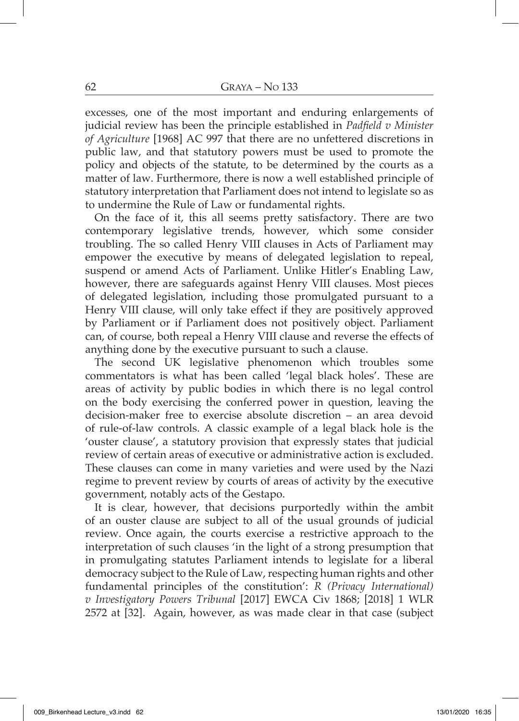excesses, one of the most important and enduring enlargements of judicial review has been the principle established in *Padfield v Minister of Agriculture* [1968] AC 997 that there are no unfettered discretions in public law, and that statutory powers must be used to promote the policy and objects of the statute, to be determined by the courts as a matter of law. Furthermore, there is now a well established principle of statutory interpretation that Parliament does not intend to legislate so as to undermine the Rule of Law or fundamental rights.

On the face of it, this all seems pretty satisfactory. There are two contemporary legislative trends, however, which some consider troubling. The so called Henry VIII clauses in Acts of Parliament may empower the executive by means of delegated legislation to repeal, suspend or amend Acts of Parliament. Unlike Hitler's Enabling Law, however, there are safeguards against Henry VIII clauses. Most pieces of delegated legislation, including those promulgated pursuant to a Henry VIII clause, will only take effect if they are positively approved by Parliament or if Parliament does not positively object. Parliament can, of course, both repeal a Henry VIII clause and reverse the effects of anything done by the executive pursuant to such a clause.

The second UK legislative phenomenon which troubles some commentators is what has been called 'legal black holes'. These are areas of activity by public bodies in which there is no legal control on the body exercising the conferred power in question, leaving the decision-maker free to exercise absolute discretion – an area devoid of rule-of-law controls. A classic example of a legal black hole is the 'ouster clause', a statutory provision that expressly states that judicial review of certain areas of executive or administrative action is excluded. These clauses can come in many varieties and were used by the Nazi regime to prevent review by courts of areas of activity by the executive government, notably acts of the Gestapo.

It is clear, however, that decisions purportedly within the ambit of an ouster clause are subject to all of the usual grounds of judicial review. Once again, the courts exercise a restrictive approach to the interpretation of such clauses 'in the light of a strong presumption that in promulgating statutes Parliament intends to legislate for a liberal democracy subject to the Rule of Law, respecting human rights and other fundamental principles of the constitution': *R (Privacy International) v Investigatory Powers Tribunal* [2017] EWCA Civ 1868; [2018] 1 WLR 2572 at [32]. Again, however, as was made clear in that case (subject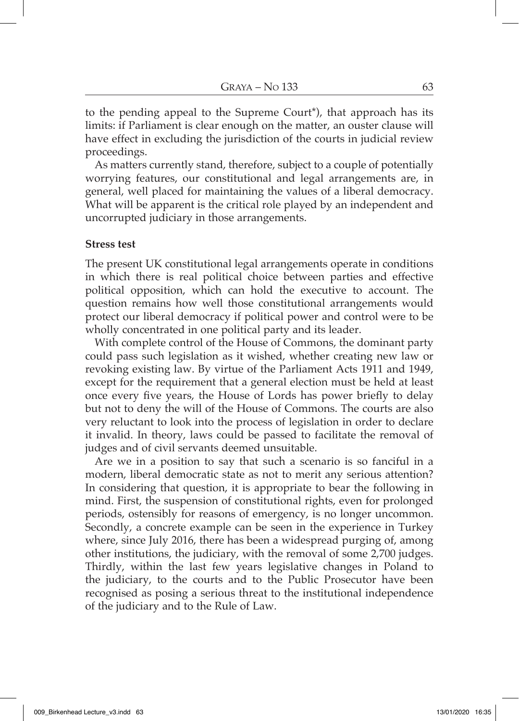to the pending appeal to the Supreme Court\*), that approach has its limits: if Parliament is clear enough on the matter, an ouster clause will have effect in excluding the jurisdiction of the courts in judicial review proceedings.

As matters currently stand, therefore, subject to a couple of potentially worrying features, our constitutional and legal arrangements are, in general, well placed for maintaining the values of a liberal democracy. What will be apparent is the critical role played by an independent and uncorrupted judiciary in those arrangements.

#### **Stress test**

The present UK constitutional legal arrangements operate in conditions in which there is real political choice between parties and effective political opposition, which can hold the executive to account. The question remains how well those constitutional arrangements would protect our liberal democracy if political power and control were to be wholly concentrated in one political party and its leader.

With complete control of the House of Commons, the dominant party could pass such legislation as it wished, whether creating new law or revoking existing law. By virtue of the Parliament Acts 1911 and 1949, except for the requirement that a general election must be held at least once every five years, the House of Lords has power briefly to delay but not to deny the will of the House of Commons. The courts are also very reluctant to look into the process of legislation in order to declare it invalid. In theory, laws could be passed to facilitate the removal of judges and of civil servants deemed unsuitable.

Are we in a position to say that such a scenario is so fanciful in a modern, liberal democratic state as not to merit any serious attention? In considering that question, it is appropriate to bear the following in mind. First, the suspension of constitutional rights, even for prolonged periods, ostensibly for reasons of emergency, is no longer uncommon. Secondly, a concrete example can be seen in the experience in Turkey where, since July 2016, there has been a widespread purging of, among other institutions, the judiciary, with the removal of some 2,700 judges. Thirdly, within the last few years legislative changes in Poland to the judiciary, to the courts and to the Public Prosecutor have been recognised as posing a serious threat to the institutional independence of the judiciary and to the Rule of Law.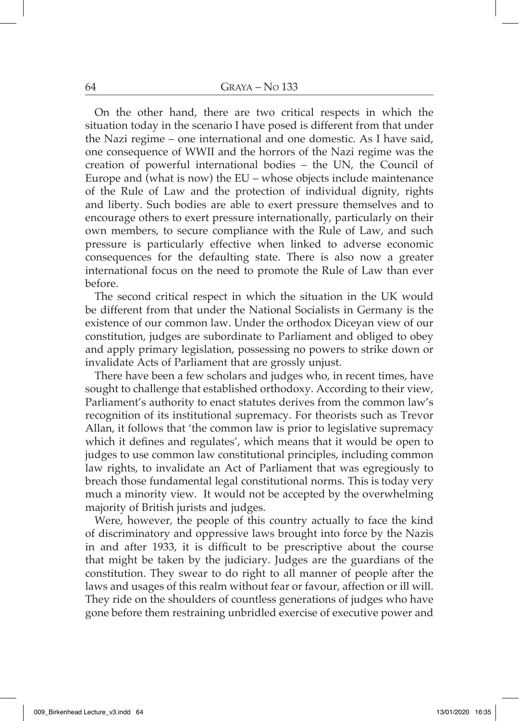On the other hand, there are two critical respects in which the situation today in the scenario I have posed is different from that under the Nazi regime – one international and one domestic. As I have said, one consequence of WWII and the horrors of the Nazi regime was the creation of powerful international bodies – the UN, the Council of Europe and (what is now) the EU – whose objects include maintenance of the Rule of Law and the protection of individual dignity, rights and liberty. Such bodies are able to exert pressure themselves and to encourage others to exert pressure internationally, particularly on their own members, to secure compliance with the Rule of Law, and such pressure is particularly effective when linked to adverse economic consequences for the defaulting state. There is also now a greater international focus on the need to promote the Rule of Law than ever before.

The second critical respect in which the situation in the UK would be different from that under the National Socialists in Germany is the existence of our common law. Under the orthodox Diceyan view of our constitution, judges are subordinate to Parliament and obliged to obey and apply primary legislation, possessing no powers to strike down or invalidate Acts of Parliament that are grossly unjust.

There have been a few scholars and judges who, in recent times, have sought to challenge that established orthodoxy. According to their view, Parliament's authority to enact statutes derives from the common law's recognition of its institutional supremacy. For theorists such as Trevor Allan, it follows that 'the common law is prior to legislative supremacy which it defines and regulates', which means that it would be open to judges to use common law constitutional principles, including common law rights, to invalidate an Act of Parliament that was egregiously to breach those fundamental legal constitutional norms. This is today very much a minority view. It would not be accepted by the overwhelming majority of British jurists and judges.

Were, however, the people of this country actually to face the kind of discriminatory and oppressive laws brought into force by the Nazis in and after 1933, it is difficult to be prescriptive about the course that might be taken by the judiciary. Judges are the guardians of the constitution. They swear to do right to all manner of people after the laws and usages of this realm without fear or favour, affection or ill will. They ride on the shoulders of countless generations of judges who have gone before them restraining unbridled exercise of executive power and